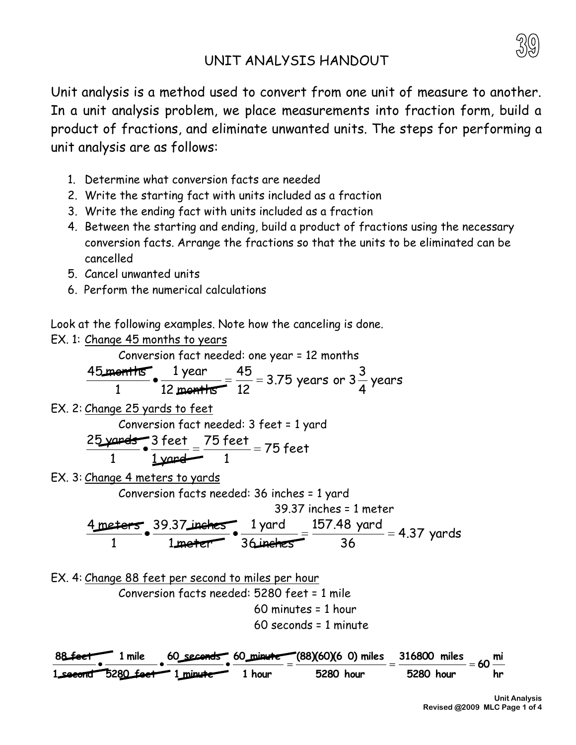## UNIT ANALYSIS HANDOUT

Unit analysis is a method used to convert from one unit of measure to another. In a unit analysis problem, we place measurements into fraction form, build a product of fractions, and eliminate unwanted units. The steps for performing a unit analysis are as follows:

- 1. Determine what conversion facts are needed
- 2. Write the starting fact with units included as a fraction
- 3. Write the ending fact with units included as a fraction
- 4. Between the starting and ending, build a product of fractions using the necessary conversion facts. Arrange the fractions so that the units to be eliminated can be cancelled
- 5. Cancel unwanted units
- 6. Perform the numerical calculations

Look at the following examples. Note how the canceling is done.

EX. 1: Change 45 months to years

Conversion fact needed: one year = 12 months

$$
\frac{45 \text{ months}}{1} \cdot \frac{1 \text{ year}}{12 \text{ months}} = \frac{45}{12} = 3.75 \text{ years or } 3\frac{3}{4} \text{ years}
$$

EX. 2: Change 25 yards to feet

Conversion fact needed: 3 feet = 1 yard

$$
\frac{25 \cancel{\text{yards}}}{1} \cdot \frac{3 \text{ feet}}{1 \cancel{\text{yared}}} = \frac{75 \text{ feet}}{1} = 75 \text{ feet}
$$

EX. 3: Change 4 meters to yards

Conversion facts needed: 36 inches = 1 yard

39.37 inches = 1 meter

$$
\frac{4 \text{meters}}{1} \cdot \frac{39.37 \text{ inches}}{1 \text{meter}} \cdot \frac{1 \text{ yard}}{36 \text{inches}} = \frac{157.48 \text{ yard}}{36} = 4.37 \text{ yards}
$$

EX. 4: Change 88 feet per second to miles per hour Conversion facts needed: 5280 feet = 1 mile 60 minutes = 1 hour 60 seconds = 1 minute

**hr mi 60 5280 hour 316800 miles 5280 hour (88)(60)(6 0) miles 1 hour 60 minute 1 minute 60 seconds 5280 feet 1 mile 1 second 88 feet**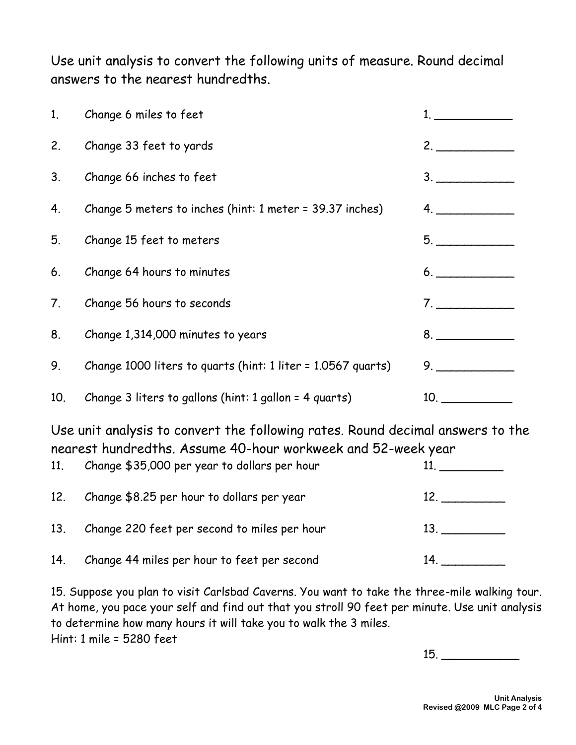Use unit analysis to convert the following units of measure. Round decimal answers to the nearest hundredths.

| 1.  | Change 6 miles to feet                                       |                |
|-----|--------------------------------------------------------------|----------------|
| 2.  | Change 33 feet to yards                                      | 2.             |
| 3.  | Change 66 inches to feet                                     | 3.             |
| 4.  | Change 5 meters to inches (hint: 1 meter = 39.37 inches)     | $\mathbf{4}$ . |
| 5.  | Change 15 feet to meters                                     | 5.             |
| 6.  | Change 64 hours to minutes                                   | 6.             |
| 7.  | Change 56 hours to seconds                                   | 7.             |
| 8.  | Change 1,314,000 minutes to years                            |                |
| 9.  | Change 1000 liters to quarts (hint: 1 liter = 1.0567 quarts) |                |
| 10. | Change 3 liters to gallons (hint: 1 gallon = 4 quarts)       | 10.            |

Use unit analysis to convert the following rates. Round decimal answers to the nearest hundredths. Assume 40-hour workweek and 52-week year

| 11 <sub>1</sub> | Change \$35,000 per year to dollars per hour |     |
|-----------------|----------------------------------------------|-----|
| 12.             | Change \$8.25 per hour to dollars per year   | 12. |
| 13.             | Change 220 feet per second to miles per hour | 13. |
| 14.             | Change 44 miles per hour to feet per second  | 14. |

15. Suppose you plan to visit Carlsbad Caverns. You want to take the three-mile walking tour. At home, you pace your self and find out that you stroll 90 feet per minute. Use unit analysis to determine how many hours it will take you to walk the 3 miles. Hint: 1 mile = 5280 feet

15. \_\_\_\_\_\_\_\_\_\_\_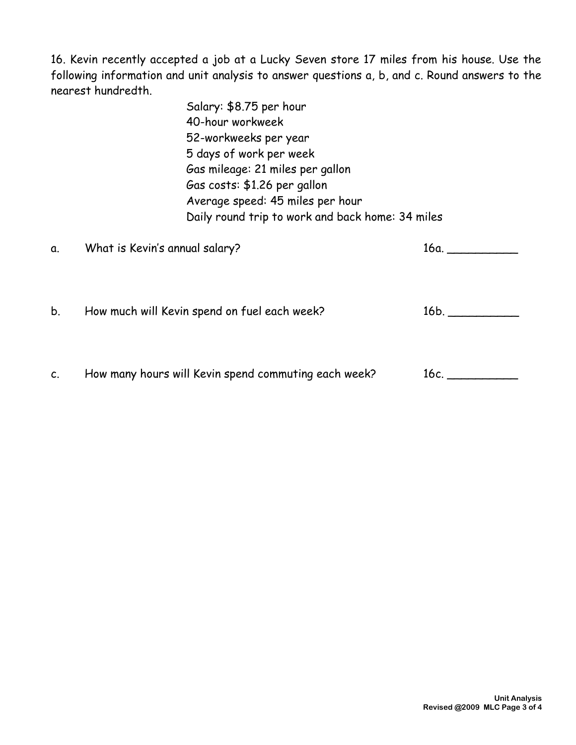16. Kevin recently accepted a job at a Lucky Seven store 17 miles from his house. Use the following information and unit analysis to answer questions a, b, and c. Round answers to the nearest hundredth.

> Salary: \$8.75 per hour 40-hour workweek 52-workweeks per year 5 days of work per week Gas mileage: 21 miles per gallon Gas costs: \$1.26 per gallon Average speed: 45 miles per hour Daily round trip to work and back home: 34 miles

| α. | What is Kevin's annual salary?                       | 16a. |
|----|------------------------------------------------------|------|
| b. | How much will Kevin spend on fuel each week?         | 16b. |
| C. | How many hours will Kevin spend commuting each week? | 16с. |